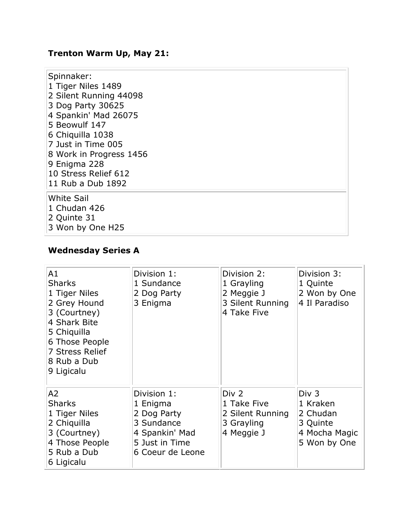## **Trenton Warm Up, May 21:**

| Spinnaker:<br>1 Tiger Niles 1489<br>2 Silent Running 44098<br>3 Dog Party 30625<br>4 Spankin' Mad 26075<br>5 Beowulf 147<br>6 Chiquilla 1038<br>7 Just in Time 005<br>8 Work in Progress 1456<br>9 Enigma 228<br>10 Stress Relief 612<br>11 Rub a Dub 1892 |
|------------------------------------------------------------------------------------------------------------------------------------------------------------------------------------------------------------------------------------------------------------|
| <b>White Sail</b><br>1 Chudan 426<br>2 Quinte 31<br>3 Won by One H25                                                                                                                                                                                       |

# **Wednesday Series A**

| A1<br><b>Sharks</b><br>1 Tiger Niles<br>2 Grey Hound<br>3 (Courtney)<br>4 Shark Bite<br>5 Chiquilla<br>6 Those People<br>7 Stress Relief<br>8 Rub a Dub<br>9 Ligicalu | Division 1:<br>1 Sundance<br>2 Dog Party<br>3 Enigma                                                         | Division 2:<br>1 Grayling<br>2 Meggie J<br>3 Silent Running<br>4 Take Five | Division 3:<br>1 Quinte<br>2 Won by One<br>4 Il Paradiso                   |
|-----------------------------------------------------------------------------------------------------------------------------------------------------------------------|--------------------------------------------------------------------------------------------------------------|----------------------------------------------------------------------------|----------------------------------------------------------------------------|
| A2<br><b>Sharks</b><br>1 Tiger Niles<br>2 Chiquilla<br>3 (Courtney)<br>4 Those People<br>5 Rub a Dub<br>6 Ligicalu                                                    | Division 1:<br>1 Enigma<br>2 Dog Party<br>3 Sundance<br>4 Spankin' Mad<br>5 Just in Time<br>6 Coeur de Leone | Div 2<br>1 Take Five<br>2 Silent Running<br>3 Grayling<br>4 Meggie J       | Div 3<br>1 Kraken<br>2 Chudan<br>3 Quinte<br>4 Mocha Magic<br>5 Won by One |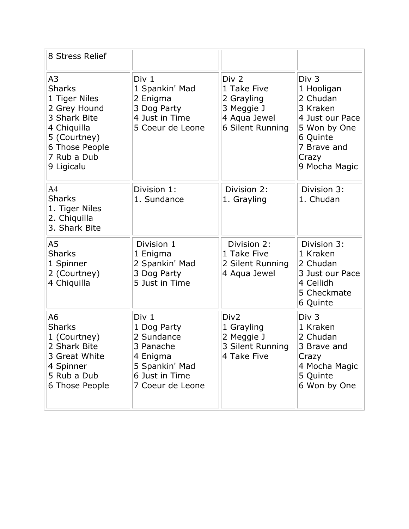| 8 Stress Relief                                                                                                                                                |                                                                                                                     |                                                                                                 |                                                                                                                                     |
|----------------------------------------------------------------------------------------------------------------------------------------------------------------|---------------------------------------------------------------------------------------------------------------------|-------------------------------------------------------------------------------------------------|-------------------------------------------------------------------------------------------------------------------------------------|
| A <sub>3</sub><br><b>Sharks</b><br>1 Tiger Niles<br>2 Grey Hound<br>3 Shark Bite<br>4 Chiquilla<br>5 (Courtney)<br>6 Those People<br>7 Rub a Dub<br>9 Ligicalu | Div 1<br>1 Spankin' Mad<br>2 Enigma<br>3 Dog Party<br>4 Just in Time<br>5 Coeur de Leone                            | Div <sub>2</sub><br>1 Take Five<br>2 Grayling<br>3 Meggie J<br>4 Aqua Jewel<br>6 Silent Running | Div 3<br>1 Hooligan<br>2 Chudan<br>3 Kraken<br>4 Just our Pace<br>5 Won by One<br>6 Quinte<br>7 Brave and<br>Crazy<br>9 Mocha Magic |
| A <sub>4</sub><br><b>Sharks</b><br>1. Tiger Niles<br>2. Chiquilla<br>3. Shark Bite                                                                             | Division 1:<br>1. Sundance                                                                                          | Division 2:<br>1. Grayling                                                                      | Division 3:<br>1. Chudan                                                                                                            |
| A5<br><b>Sharks</b><br>1 Spinner<br>2 (Courtney)<br>4 Chiquilla                                                                                                | Division 1<br>1 Enigma<br>2 Spankin' Mad<br>3 Dog Party<br>5 Just in Time                                           | Division 2:<br>1 Take Five<br>2 Silent Running<br>4 Aqua Jewel                                  | Division 3:<br>1 Kraken<br>2 Chudan<br>3 Just our Pace<br>4 Ceilidh<br>5 Checkmate<br>6 Quinte                                      |
| A <sub>6</sub><br><b>Sharks</b><br>1 (Courtney)<br>2 Shark Bite<br>3 Great White<br>4 Spinner<br>5 Rub a Dub<br>6 Those People                                 | Div 1<br>1 Dog Party<br>2 Sundance<br>3 Panache<br>4 Enigma<br>5 Spankin' Mad<br>6 Just in Time<br>7 Coeur de Leone | Div <sub>2</sub><br>1 Grayling<br>2 Meggie J<br>3 Silent Running<br>4 Take Five                 | Div 3<br>1 Kraken<br>2 Chudan<br>3 Brave and<br>Crazy<br>4 Mocha Magic<br>5 Quinte<br>6 Won by One                                  |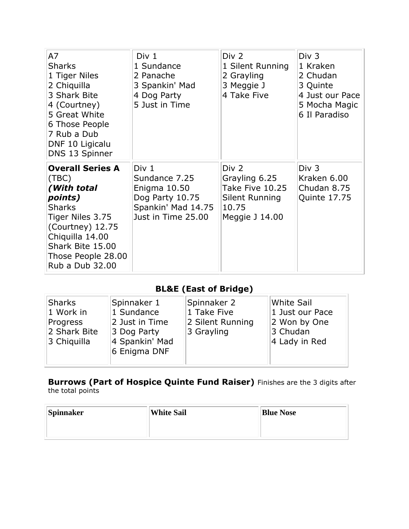| A7<br><b>Sharks</b><br>1 Tiger Niles<br>2 Chiquilla<br>3 Shark Bite<br>4 (Courtney)<br>5 Great White<br>6 Those People<br>7 Rub a Dub<br>DNF 10 Ligicalu<br>DNS 13 Spinner                          | Div 1<br>1 Sundance<br>2 Panache<br>3 Spankin' Mad<br>4 Dog Party<br>5 Just in Time                              | Div 2<br>1 Silent Running<br>2 Grayling<br>3 Meggie J<br>4 Take Five                   | Div 3<br>1 Kraken<br>2 Chudan<br>3 Quinte<br>4 Just our Pace<br>5 Mocha Magic<br>6 Il Paradiso |
|-----------------------------------------------------------------------------------------------------------------------------------------------------------------------------------------------------|------------------------------------------------------------------------------------------------------------------|----------------------------------------------------------------------------------------|------------------------------------------------------------------------------------------------|
| <b>Overall Series A</b><br>(TBC)<br>(With total<br>points)<br><b>Sharks</b><br>Tiger Niles 3.75<br>(Courtney) 12.75<br>Chiquilla 14.00<br>Shark Bite 15.00<br>Those People 28.00<br>Rub a Dub 32.00 | Div <sub>1</sub><br>Sundance 7.25<br>Enigma 10.50<br>Dog Party 10.75<br>Spankin' Mad 14.75<br>Just in Time 25.00 | Div 2<br>Grayling 6.25<br>Take Five 10.25<br>Silent Running<br>10.75<br>Meggie J 14.00 | Div <sub>3</sub><br>Kraken 6.00<br>Chudan 8.75<br>Quinte 17.75                                 |

### **BL&E (East of Bridge)**

| Sharks       | Spinnaker 1                    | Spinnaker 2      | White Sail      |
|--------------|--------------------------------|------------------|-----------------|
| 1 Work in    | 1 Sundance                     | 1 Take Five      | 1 Just our Pace |
| Progress     | 2 Just in Time                 | 2 Silent Running | 2 Won by One    |
| 2 Shark Bite | 3 Dog Party                    | 3 Grayling       | 3 Chudan        |
| 3 Chiquilla  | 4 Spankin' Mad<br>6 Enigma DNF |                  | 4 Lady in Red   |

#### **Burrows (Part of Hospice Quinte Fund Raiser)** Finishes are the 3 digits after the total points

| Spinnaker | White Sail | <b>Blue Nose</b> |
|-----------|------------|------------------|
|           |            |                  |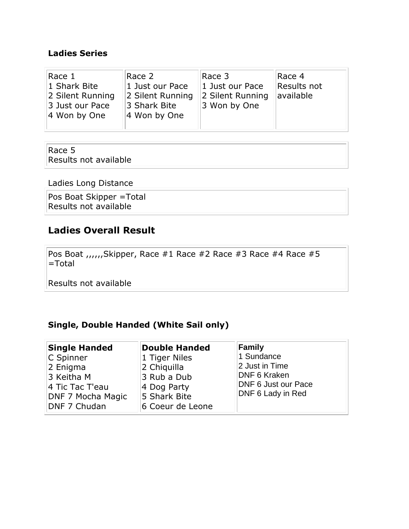### **Ladies Series**

| Race 1<br>1 Shark Bite<br>2 Silent Running<br>3 Just our Pace<br>$ 4$ Won by One | Race 2<br>1 Just our Pace<br>2 Silent Running<br>3 Shark Bite<br>4 Won by One | Race 3<br>1 Just our Pace<br>2 Silent Running<br>3 Won by One | Race <sub>4</sub><br>Results not<br>available |
|----------------------------------------------------------------------------------|-------------------------------------------------------------------------------|---------------------------------------------------------------|-----------------------------------------------|
|                                                                                  |                                                                               |                                                               |                                               |

#### Race 5 Results not available

Ladies Long Distance

Pos Boat Skipper =Total Results not available

### **Ladies Overall Result**

Pos Boat ,,,,,,Skipper, Race #1 Race #2 Race #3 Race #4 Race #5 =Total

Results not available

### **Single, Double Handed (White Sail only)**

| <b>Single Handed</b>                                                                        | <b>Double Handed</b>                                                                           | Family                                                                                                        |
|---------------------------------------------------------------------------------------------|------------------------------------------------------------------------------------------------|---------------------------------------------------------------------------------------------------------------|
| C Spinner<br>2 Enigma<br>3 Keitha M<br>4 Tic Tac T'eau<br>DNF 7 Mocha Magic<br>DNF 7 Chudan | 1 Tiger Niles<br>2 Chiquilla<br>3 Rub a Dub<br>4 Dog Party<br>5 Shark Bite<br>6 Coeur de Leone | 1 Sundance<br>2 Just in Time<br><b>DNF 6 Kraken</b><br><b>DNF 6 Just our Pace</b><br><b>DNF 6 Lady in Red</b> |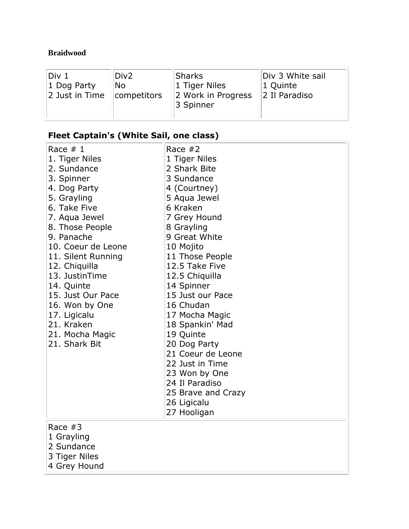### **Braidwood**

| Div 1          | Div <sub>2</sub> | Sharks                          | Div 3 White sail          |
|----------------|------------------|---------------------------------|---------------------------|
| 1 Dog Party    | No               | 1 Tiger Niles                   | 1 Quinte                  |
| 2 Just in Time | $ $ competitors  | 2 Work in Progress<br>3 Spinner | $\parallel$ 2 Il Paradiso |
|                |                  |                                 |                           |

# **Fleet Captain's (White Sail, one class)**

| Race $# 1$<br>1. Tiger Niles<br>2. Sundance<br>3. Spinner<br>4. Dog Party<br>5. Grayling<br>6. Take Five<br>7. Aqua Jewel<br>8. Those People<br>9. Panache<br>10. Coeur de Leone<br>11. Silent Running<br>12. Chiquilla<br>13. JustinTime<br>14. Quinte<br>15. Just Our Pace<br>16. Won by One<br>17. Ligicalu<br>21. Kraken<br>21. Mocha Magic<br>21. Shark Bit | Race $#2$<br>1 Tiger Niles<br>2 Shark Bite<br>3 Sundance<br>4 (Courtney)<br>5 Aqua Jewel<br>6 Kraken<br>7 Grey Hound<br>8 Grayling<br>9 Great White<br>10 Mojito<br>11 Those People<br>12.5 Take Five<br>12.5 Chiquilla<br>14 Spinner<br>15 Just our Pace<br>16 Chudan<br>17 Mocha Magic<br>18 Spankin' Mad<br>19 Quinte<br>20 Dog Party<br>21 Coeur de Leone<br>22 Just in Time<br>23 Won by One<br>24 Il Paradiso<br>25 Brave and Crazy<br>26 Ligicalu |
|------------------------------------------------------------------------------------------------------------------------------------------------------------------------------------------------------------------------------------------------------------------------------------------------------------------------------------------------------------------|----------------------------------------------------------------------------------------------------------------------------------------------------------------------------------------------------------------------------------------------------------------------------------------------------------------------------------------------------------------------------------------------------------------------------------------------------------|
| Race $#3$<br>1 Grayling<br>2 Sundance<br>3 Tiger Niles                                                                                                                                                                                                                                                                                                           | 27 Hooligan                                                                                                                                                                                                                                                                                                                                                                                                                                              |
| 4 Grey Hound                                                                                                                                                                                                                                                                                                                                                     |                                                                                                                                                                                                                                                                                                                                                                                                                                                          |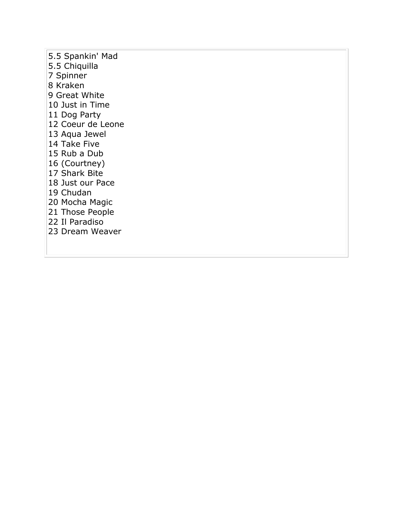5.5 Spankin' Mad 5.5 Chiquilla 7 Spinner 8 Kraken 9 Great White 10 Just in Time 11 Dog Party 12 Coeur de Leone 13 Aqua Jewel 14 Take Five 15 Rub a Dub 16 (Courtney) 17 Shark Bite 18 Just our Pace 19 Chudan 20 Mocha Magic 21 Those People 22 Il Paradiso 23 Dream Weaver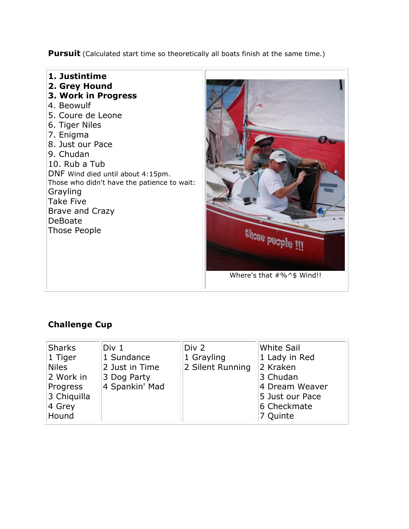**Pursuit** (Calculated start time so theoretically all boats finish at the same time.)



### **Challenge Cup**

| Sharks       | Div 1          | Div 2            | White Sail      |
|--------------|----------------|------------------|-----------------|
| $1$ Tiger    | 1 Sundance     | 1 Grayling       | 1 Lady in Red   |
| <b>Niles</b> | 2 Just in Time | 2 Silent Running | 2 Kraken        |
| 2 Work in    | 3 Dog Party    |                  | 3 Chudan        |
| Progress     | 4 Spankin' Mad |                  | 4 Dream Weaver  |
| 3 Chiquilla  |                |                  | 5 Just our Pace |
| 4 Grey       |                |                  | 6 Checkmate     |
| Hound        |                |                  | 7 Quinte        |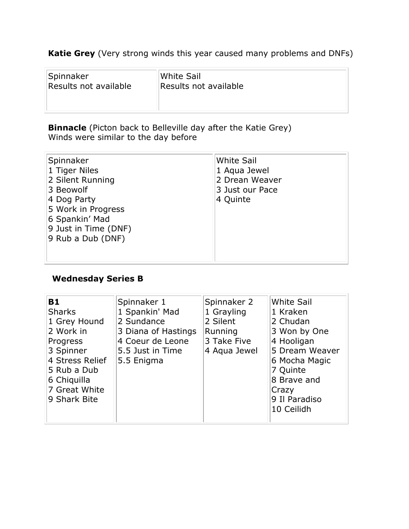**Katie Grey** (Very strong winds this year caused many problems and DNFs)

| Spinnaker             | White Sail            |
|-----------------------|-----------------------|
| Results not available | Results not available |
|                       |                       |

**Binnacle** (Picton back to Belleville day after the Katie Grey) Winds were similar to the day before

| Spinnaker<br>1 Tiger Niles<br>2 Silent Running<br>3 Beowolf<br>4 Dog Party<br>5 Work in Progress<br>6 Spankin' Mad<br>9 Just in Time (DNF)<br>9 Rub a Dub (DNF) | <b>White Sail</b><br>1 Aqua Jewel<br>2 Drean Weaver<br>3 Just our Pace<br>4 Quinte |
|-----------------------------------------------------------------------------------------------------------------------------------------------------------------|------------------------------------------------------------------------------------|
|                                                                                                                                                                 |                                                                                    |

### **Wednesday Series B**

| <b>B1</b>       | Spinnaker 1         | Spinnaker 2  | <b>White Sail</b> |
|-----------------|---------------------|--------------|-------------------|
| <b>Sharks</b>   | 1 Spankin' Mad      | 1 Grayling   | 1 Kraken          |
| 1 Grey Hound    | 2 Sundance          | 2 Silent     | 2 Chudan          |
| 2 Work in       | 3 Diana of Hastings | Running      | 3 Won by One      |
| Progress        | 4 Coeur de Leone    | 3 Take Five  | 4 Hooligan        |
| 3 Spinner       | 5.5 Just in Time    | 4 Aqua Jewel | 5 Dream Weaver    |
| 4 Stress Relief | 5.5 Enigma          |              | 6 Mocha Magic     |
| 5 Rub a Dub     |                     |              | 7 Quinte          |
| 6 Chiquilla     |                     |              | 8 Brave and       |
| 7 Great White   |                     |              | Crazy             |
| 9 Shark Bite    |                     |              | 9 Il Paradiso     |
|                 |                     |              | 10 Ceilidh        |
|                 |                     |              |                   |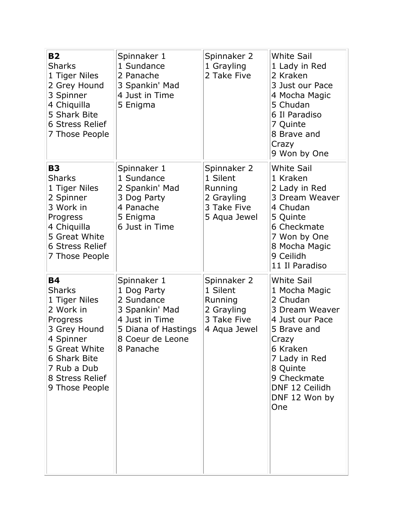| <b>B2</b><br><b>Sharks</b><br>1 Tiger Niles<br>2 Grey Hound<br>3 Spinner<br>4 Chiquilla<br>5 Shark Bite<br><b>6 Stress Relief</b><br>7 Those People                                    | Spinnaker 1<br>1 Sundance<br>2 Panache<br>3 Spankin' Mad<br>4 Just in Time<br>5 Enigma                                               | Spinnaker 2<br>1 Grayling<br>2 Take Five                                        | <b>White Sail</b><br>1 Lady in Red<br>2 Kraken<br>3 Just our Pace<br>4 Mocha Magic<br>5 Chudan<br>6 Il Paradiso<br>7 Quinte<br>8 Brave and<br>Crazy<br>9 Won by One                                           |
|----------------------------------------------------------------------------------------------------------------------------------------------------------------------------------------|--------------------------------------------------------------------------------------------------------------------------------------|---------------------------------------------------------------------------------|---------------------------------------------------------------------------------------------------------------------------------------------------------------------------------------------------------------|
| <b>B3</b><br><b>Sharks</b><br>1 Tiger Niles<br>2 Spinner<br>3 Work in<br>Progress<br>4 Chiquilla<br>5 Great White<br>6 Stress Relief<br>7 Those People                                 | Spinnaker 1<br>1 Sundance<br>2 Spankin' Mad<br>3 Dog Party<br>4 Panache<br>5 Enigma<br>6 Just in Time                                | Spinnaker 2<br>1 Silent<br>Running<br>2 Grayling<br>3 Take Five<br>5 Aqua Jewel | <b>White Sail</b><br>1 Kraken<br>2 Lady in Red<br>3 Dream Weaver<br>4 Chudan<br>5 Quinte<br>6 Checkmate<br>7 Won by One<br>8 Mocha Magic<br>9 Ceilidh<br>11 Il Paradiso                                       |
| <b>B4</b><br><b>Sharks</b><br>1 Tiger Niles<br>2 Work in<br>Progress<br>3 Grey Hound<br>4 Spinner<br>5 Great White<br>6 Shark Bite<br>7 Rub a Dub<br>8 Stress Relief<br>9 Those People | Spinnaker 1<br>1 Dog Party<br>2 Sundance<br>3 Spankin' Mad<br>4 Just in Time<br>5 Diana of Hastings<br>8 Coeur de Leone<br>8 Panache | Spinnaker 2<br>1 Silent<br>Running<br>2 Grayling<br>3 Take Five<br>4 Aqua Jewel | <b>White Sail</b><br>1 Mocha Magic<br>2 Chudan<br>3 Dream Weaver<br>4 Just our Pace<br>5 Brave and<br>Crazy<br>6 Kraken<br>7 Lady in Red<br>8 Quinte<br>9 Checkmate<br>DNF 12 Ceilidh<br>DNF 12 Won by<br>One |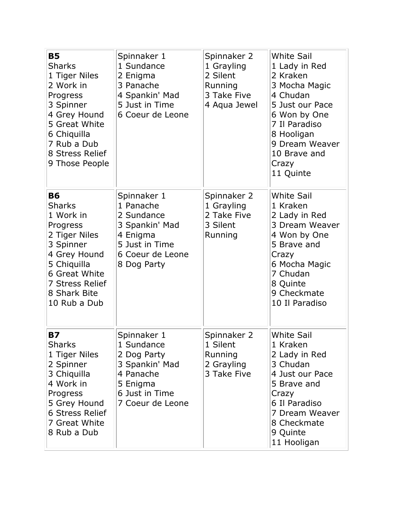| <b>B5</b><br><b>Sharks</b><br>1 Tiger Niles<br>2 Work in<br>Progress<br>3 Spinner<br>4 Grey Hound<br>5 Great White<br>6 Chiquilla<br>7 Rub a Dub<br>8 Stress Relief<br>9 Those People | Spinnaker 1<br>1 Sundance<br>2 Enigma<br>3 Panache<br>4 Spankin' Mad<br>5 Just in Time<br>6 Coeur de Leone                | Spinnaker 2<br>1 Grayling<br>2 Silent<br>Running<br>3 Take Five<br>4 Aqua Jewel | <b>White Sail</b><br>1 Lady in Red<br>2 Kraken<br>3 Mocha Magic<br>4 Chudan<br>5 Just our Pace<br>6 Won by One<br>7 Il Paradiso<br>8 Hooligan<br>9 Dream Weaver<br>10 Brave and<br>Crazy<br>11 Quinte |
|---------------------------------------------------------------------------------------------------------------------------------------------------------------------------------------|---------------------------------------------------------------------------------------------------------------------------|---------------------------------------------------------------------------------|-------------------------------------------------------------------------------------------------------------------------------------------------------------------------------------------------------|
| <b>B6</b><br><b>Sharks</b><br>1 Work in<br>Progress<br>2 Tiger Niles<br>3 Spinner<br>4 Grey Hound<br>5 Chiquilla<br>6 Great White<br>7 Stress Relief<br>8 Shark Bite<br>10 Rub a Dub  | Spinnaker 1<br>1 Panache<br>2 Sundance<br>3 Spankin' Mad<br>4 Enigma<br>5 Just in Time<br>6 Coeur de Leone<br>8 Dog Party | Spinnaker 2<br>1 Grayling<br>2 Take Five<br>3 Silent<br>Running                 | <b>White Sail</b><br>1 Kraken<br>2 Lady in Red<br>3 Dream Weaver<br>4 Won by One<br>5 Brave and<br>Crazy<br>6 Mocha Magic<br>7 Chudan<br>8 Quinte<br>9 Checkmate<br>10 Il Paradiso                    |
| <b>B7</b><br><b>Sharks</b><br>1 Tiger Niles<br>2 Spinner<br>3 Chiquilla<br>4 Work in<br>Progress<br>5 Grey Hound<br><b>6 Stress Relief</b><br>7 Great White<br>8 Rub a Dub            | Spinnaker 1<br>1 Sundance<br>2 Dog Party<br>3 Spankin' Mad<br>4 Panache<br>5 Enigma<br>6 Just in Time<br>7 Coeur de Leone | Spinnaker 2<br>1 Silent<br>Running<br>2 Grayling<br>3 Take Five                 | <b>White Sail</b><br>1 Kraken<br>2 Lady in Red<br>3 Chudan<br>4 Just our Pace<br>5 Brave and<br>Crazy<br>6 Il Paradiso<br>7 Dream Weaver<br>8 Checkmate<br>9 Quinte<br>11 Hooligan                    |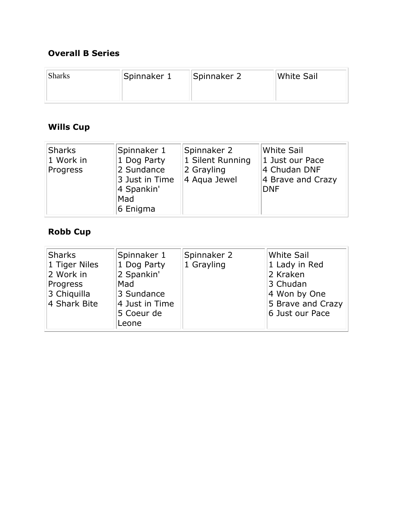### **Overall B Series**

| <b>Sharks</b> | Spinnaker 1 | Spinnaker 2 | White Sail |
|---------------|-------------|-------------|------------|
|               |             |             |            |

## **Wills Cup**

|  | Sharks<br>1 Work in<br>Progress | Spinnaker 1<br>1 Dog Party<br>2 Sundance<br>3 Just in Time<br>4 Spankin'<br>Mad<br>6 Enigma | Spinnaker 2<br>1 Silent Running<br>2 Grayling<br>4 Aqua Jewel | <b>White Sail</b><br>1 Just our Pace<br>4 Chudan DNF<br>4 Brave and Crazy<br><b>DNF</b> |
|--|---------------------------------|---------------------------------------------------------------------------------------------|---------------------------------------------------------------|-----------------------------------------------------------------------------------------|
|--|---------------------------------|---------------------------------------------------------------------------------------------|---------------------------------------------------------------|-----------------------------------------------------------------------------------------|

### **Robb Cup**

| <b>Sharks</b><br>1 Tiger Niles<br>2 Work in<br>Progress<br>3 Chiquilla<br>4 Shark Bite | Spinnaker 1<br>1 Dog Party<br>2 Spankin'<br>Mad<br>3 Sundance<br>4 Just in Time<br>5 Coeur de | Spinnaker 2<br>1 Grayling | White Sail<br>1 Lady in Red<br>2 Kraken<br>3 Chudan<br>4 Won by One<br>5 Brave and Crazy<br>6 Just our Pace |
|----------------------------------------------------------------------------------------|-----------------------------------------------------------------------------------------------|---------------------------|-------------------------------------------------------------------------------------------------------------|
|                                                                                        | Leone                                                                                         |                           |                                                                                                             |